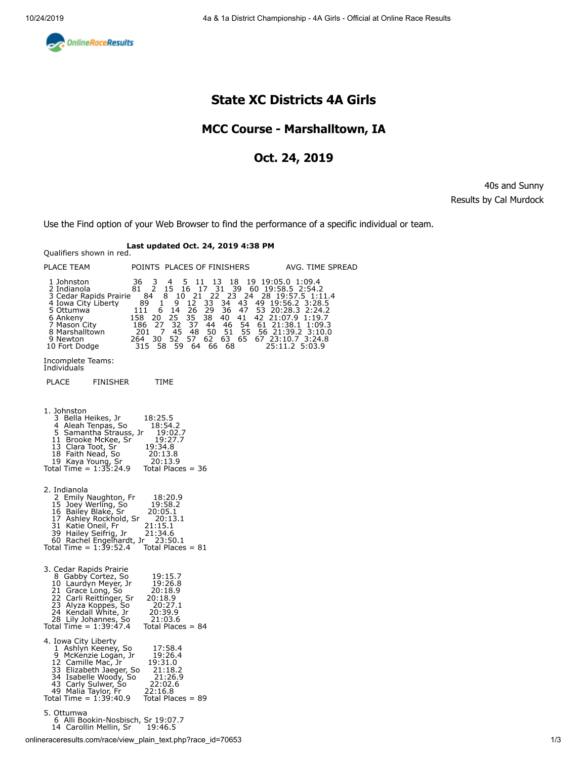<span id="page-0-0"></span>

# **State XC Districts 4A Girls**

## **MCC Course - Marshalltown, IA**

### **Oct. 24, 2019**

40s and Sunny Results by Cal Murdock

Use the Find option of your Web Browser to find the performance of a specific individual or team.

# **Last updated Oct. 24, 2019 4:38 PM** Qualifiers shown in red.

| PLACE TEAM                                                                                                                                                                                                               | POINTS PLACES OF FINISHERS                                                                                                                                                                                                                                                                                                                                                                                                                                                           | AVG. TIME SPREAD                                                                                                                                                                                                                                |
|--------------------------------------------------------------------------------------------------------------------------------------------------------------------------------------------------------------------------|--------------------------------------------------------------------------------------------------------------------------------------------------------------------------------------------------------------------------------------------------------------------------------------------------------------------------------------------------------------------------------------------------------------------------------------------------------------------------------------|-------------------------------------------------------------------------------------------------------------------------------------------------------------------------------------------------------------------------------------------------|
| 1 Johnston<br>2 Indianola<br>3 Cedar Rapids Prairie<br>4 Iowa City Liberty<br>5 Ottumwa<br>6 Ankeny<br>7 Mason City<br>8 Marshalltown<br>9 Newton<br>10 Fort Dodge                                                       | $\frac{3}{2}$<br>5<br>36<br>4<br>11<br>13<br>18<br>$\overline{16}$<br>$\begin{array}{ccc} 11 & 13 & 31 \\ 17 & 31 & 3 \\ 21 & 22 & 23 \\ 2 & 33 & 34 \end{array}$<br>15<br>81<br>21<br>84<br>8<br>10<br>43<br>89<br>$\mathbf{1}$<br>9<br>12<br>6<br>26<br>29<br>36<br>47<br>111<br>14<br>25<br>35<br>41<br>158<br>20<br>38<br>40<br>27<br>32<br>37<br>46<br>186<br>44<br>48<br>50<br>51<br>201<br>7<br>-45<br>62<br>63<br>30, 52<br>57<br>264<br>59<br>315<br>- 58<br>64<br>66<br>68 | 19 19:05.0 1:09.4<br>39 60 19:58.5 2:54.2<br>23 24 28 19:57.5 1:1<br>28 19:57.5 1:11.4<br>49 19:56.2 3:28.5<br>53 20:28.3 2:24.2<br>42 21:07.9 1:19.7<br>54 61 21:38.1 1:09.3<br>55 56 21:39.2 3:10.0<br>65 67 23:10.7 3:24.8<br>25:11.2 5:03.9 |
| Incomplete Teams:<br>Individuals                                                                                                                                                                                         |                                                                                                                                                                                                                                                                                                                                                                                                                                                                                      |                                                                                                                                                                                                                                                 |
| <b>PLACE</b><br>FINISHER                                                                                                                                                                                                 | TIME                                                                                                                                                                                                                                                                                                                                                                                                                                                                                 |                                                                                                                                                                                                                                                 |
| 1. Johnston<br>3 Bella Heikes, Jr<br>4 Aleah Tenpas, So<br>5 Samantha Strauss, Jr<br>11 Brooke McKee, Sr<br>13 Clara Toot, Sr<br>18 Faith Nead, So<br>19 Kaya Young, Sr<br>Total Time = $1:35:24.9$                      | 18:25.5<br>18:54.2<br>19:02.7<br>19:27.7<br>19:34.8<br>20:13.8<br>20:13.9<br>Total Places $=$ 36                                                                                                                                                                                                                                                                                                                                                                                     |                                                                                                                                                                                                                                                 |
| 2. Indianola<br>2 Emily Naughton, Fr<br>15 Joey Werling, So<br>16 Bailey Blake, Sr<br>17 Ashley Rockhold, Sr<br>31 Katie Oneil, Fr<br>39 Hailey Seifrig, Jr<br>60 Rachel Engelhardt, Jr<br>Total Time = $1:39:52.4$      | 18:20.9<br>19:58.2<br>20:05.1<br>20:13.1<br>21:15.1<br>21:34.6<br>23:50.1<br>Total Places = $81$                                                                                                                                                                                                                                                                                                                                                                                     |                                                                                                                                                                                                                                                 |
| 3. Cedar Rapids Prairie<br>8 Gabby Cortez, So<br>10 Laurdyn Meyer, Jr<br>21 Grace Long, So<br>22 Carli Reittinger, Sr<br>23 Alyza Koppes, So<br>24 Kendall White, Jr<br>28 Lily Johannes, So<br>Total Time = $1:39:47.4$ | 19:15.7<br>19:26.8<br>20:18.9<br>20:18.9<br>20:27.1<br>20:39.9<br>21:03.6<br>Total Places $= 84$                                                                                                                                                                                                                                                                                                                                                                                     |                                                                                                                                                                                                                                                 |
| 4. Iowa City Liberty<br>1 Ashlyn Keeney, So<br>9 McKenzie Logan, Jr<br>12 Camille Mac, Jr<br>33 Elizabeth Jaeger, So<br>34 Isabelle Woody, So<br>43 Carly Sulwer, So<br>49 Malia Taylor, Fr<br>Total Time = $1:39:40.9$  | 17:58.4<br>19:26.4<br>19:31.0<br>21:18.2<br>21:26.9<br>22:02.6<br>22:16.8<br>Total Places $= 89$                                                                                                                                                                                                                                                                                                                                                                                     |                                                                                                                                                                                                                                                 |
| 5. Ottumwa<br>6 Alli Bookin-Nosbisch, Sr 19:07.7<br>14 Carollin Mellin, Sr                                                                                                                                               | 19:46.5                                                                                                                                                                                                                                                                                                                                                                                                                                                                              |                                                                                                                                                                                                                                                 |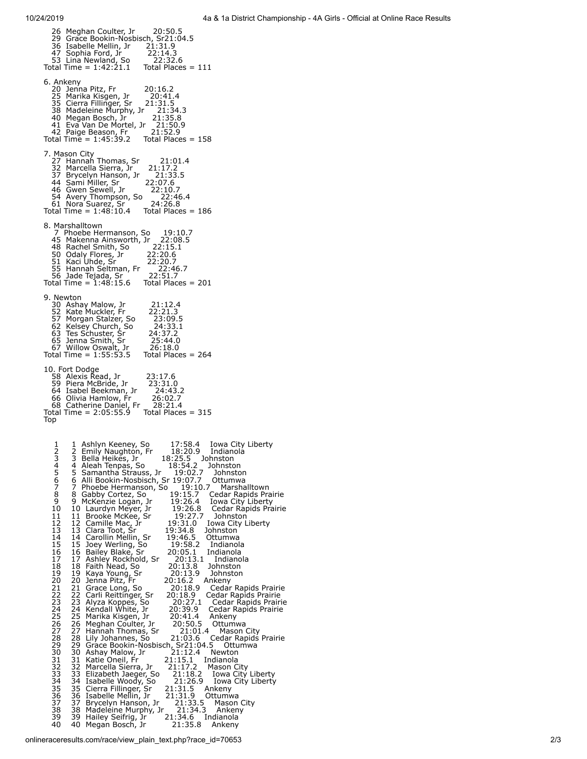<span id="page-1-0"></span>

| Meghan Coulter, Jr<br>20:50.5<br>26<br>29 Grace Bookin-Nosbisch, Sr21:04.5<br>36 Isabelle Mellin, Jr 21:31.9<br>47 Sophia Ford, Jr 22:14.3<br>53 Lina Newland, So 22:32.6<br>Total Time = 1:42:21.1 Total Places = 111                                                                                                                                                                                                                                                                                                                                                                                                                                                                                                                                                                                                                                                                                                                                                                                                                                                                                                                                                                                                                                                                                                                                                                                                                                                                                                                                                                                                                                                                                                                                                                                                                                                                                                                                                                                                                                                                                                                                                                                                                                                                                                                                                                                                     |
|----------------------------------------------------------------------------------------------------------------------------------------------------------------------------------------------------------------------------------------------------------------------------------------------------------------------------------------------------------------------------------------------------------------------------------------------------------------------------------------------------------------------------------------------------------------------------------------------------------------------------------------------------------------------------------------------------------------------------------------------------------------------------------------------------------------------------------------------------------------------------------------------------------------------------------------------------------------------------------------------------------------------------------------------------------------------------------------------------------------------------------------------------------------------------------------------------------------------------------------------------------------------------------------------------------------------------------------------------------------------------------------------------------------------------------------------------------------------------------------------------------------------------------------------------------------------------------------------------------------------------------------------------------------------------------------------------------------------------------------------------------------------------------------------------------------------------------------------------------------------------------------------------------------------------------------------------------------------------------------------------------------------------------------------------------------------------------------------------------------------------------------------------------------------------------------------------------------------------------------------------------------------------------------------------------------------------------------------------------------------------------------------------------------------------|
| 6. Ankeny<br>20:16.2<br>20<br>Jenna Pitz, Fr<br>25 Marika Kisgen, Jr<br>20:41.4<br>35 Cierra Fillinger, Sr 21:31.5<br>38 Madeleine Murphy, Jr 21:34.3<br>40 Megan Bosch, Jr<br>21:35.8<br>41 Eva Van De Mortel, Jr 21:50.9<br>42 Paige Beason, Fr 21:52.9<br>Total Time = $1:45:39.2$<br>Total Places $= 158$                                                                                                                                                                                                                                                                                                                                                                                                                                                                                                                                                                                                                                                                                                                                                                                                                                                                                                                                                                                                                                                                                                                                                                                                                                                                                                                                                                                                                                                                                                                                                                                                                                                                                                                                                                                                                                                                                                                                                                                                                                                                                                              |
| 7. Mason City<br>27 Hannah Thomas, Sr<br>21:01.4<br>32 Marcella Sierra, Jr<br>21:17.2<br>37 Brycelyn Hanson, Jr<br>21:33.5<br>44 Sami Miller, Sr<br>22:07.6<br>46 Gwen Sewell, Jr<br>22:10.7<br>46 Gwerr Jewelry J.<br>54 Avery Thompson, So<br>34 Alice Cuarez Sr<br>22:46.4<br>24:26.8<br>61 Nora Suarez, Sr<br>Total Time = $1:48:10.4$<br>Total Places $= 186$                                                                                                                                                                                                                                                                                                                                                                                                                                                                                                                                                                                                                                                                                                                                                                                                                                                                                                                                                                                                                                                                                                                                                                                                                                                                                                                                                                                                                                                                                                                                                                                                                                                                                                                                                                                                                                                                                                                                                                                                                                                         |
| 8. Marshalltown<br>Frassmattewith Theology 19:10.7<br>Theology Hermanson, So 19:10.7<br>45 Makenna Ainsworth, Jr 22:08.5<br>50 Odaly Flores, Jr 22:20.6<br>50 Odaly Flores, Jr 22:20.7<br>55 Manah Seltman, Fr 22:46.7<br>56 Jade Tejada, Sr 22:51.7<br>55 Man<br>Total Time = $1:48:15.6$ Total Places = 201                                                                                                                                                                                                                                                                                                                                                                                                                                                                                                                                                                                                                                                                                                                                                                                                                                                                                                                                                                                                                                                                                                                                                                                                                                                                                                                                                                                                                                                                                                                                                                                                                                                                                                                                                                                                                                                                                                                                                                                                                                                                                                              |
| 9. Newton<br>30 Ashay Malow, Jr<br>21:12.4<br>52 Kate Muckler, Fr<br>57 Morgan Stalzer, So<br>62 Kelsey Church, So<br>63 Tes Schuster, Sr<br>65 Jenna Smith, Sr<br>7 Willow Oswalt<br>22:21.3<br>23:09.5<br>24:33.1<br>$2\bar{4}$ : 37.2<br>25:44.0<br>67 Willow Oswalt, Jr<br>26:18.0<br>$30$ willow Oswart, $31$ $20.10.0$<br>Total Time = 1:55:53.5 Total Places = 264                                                                                                                                                                                                                                                                                                                                                                                                                                                                                                                                                                                                                                                                                                                                                                                                                                                                                                                                                                                                                                                                                                                                                                                                                                                                                                                                                                                                                                                                                                                                                                                                                                                                                                                                                                                                                                                                                                                                                                                                                                                  |
| 10. Fort Dodge<br>58 Alexis Read, Jr<br>23:17.6<br>59 Piera McBride, Jr 23:31.0<br>64 Isabel Beekman, Jr 24:43.<br>24:43.2<br>י-י-י- י-י-י- וואוחסים<br>66 Olivia Hamlow, Fr<br>68 Cathering Decisi<br>26:02.7<br>68 Catherine Daniel, Fr<br>tal Time – 2:05:55<br>28:21.4<br>Total Time = $2:05:55.9$ Total Places = 315<br><b>lop</b>                                                                                                                                                                                                                                                                                                                                                                                                                                                                                                                                                                                                                                                                                                                                                                                                                                                                                                                                                                                                                                                                                                                                                                                                                                                                                                                                                                                                                                                                                                                                                                                                                                                                                                                                                                                                                                                                                                                                                                                                                                                                                    |
| 17:58.4 Iowa City Liberty<br>18:20.9 Indianola<br>1<br>1 Ashlyn Keeney, So<br>2<br>2 Emily Naughton, Fr<br>18:25.5 Johnston<br>3<br>3 Bella Heikes, Jr<br>456789<br>18:54.2<br>4<br>Aleah Tenpas, So<br>Johnston<br>5 Samantha Strauss, Jr 19:02.7<br>6 Alli Bookin-Nosbisch, Sr 19:07.7<br>Johnston<br>Ottumwa<br>7 Phoebe Hermanson, So<br>19:10.7<br>19:15.7 (<br>Marshalltown<br>8 Gabby Cortez, So<br>Cedar Rapids Prairie<br>9 McKenzie Logan, Jr<br>19:26.4<br>Iowa City Liberty<br>10<br>10 Laurdyn Meyer, Jr<br>19:26.8<br>Cedar Rapids Prairie<br>11<br>11<br>Brooke McKee, Sr<br>19:27.7<br>Johnston<br>12<br>19:31.0<br>12<br>Camille Mac, Jr<br>Iowa City Liberty<br>13<br>13<br>Clara Toot, Sr<br>19:34.8<br>Johnston<br>14<br>14<br>19:46.5<br>Carollin Mellin, Sr<br>Ottumwa<br>15<br>15<br>Joey Werling, So<br>Bailey Blake, Sr<br>19:58.2<br>Indianola<br>16<br>16<br>20:05.1<br>Indianola<br>17<br>17<br>Ashley Rockhold, Sr<br>Faith Nead, So<br>20:13.1<br>Indianola<br>18<br>18<br>20:13.8<br>Johnston<br>19<br>19<br>20:13.9<br>Kaya Young, Sr<br>Johnston<br>20<br>20<br>20:16.2<br>Jenna Pitz, Fr<br>Ankeny<br>21<br>$\frac{21}{1}$<br>20:18.9<br>Cedar Rapids Prairie<br>Grace Long, So<br>22<br>22<br>Carli Reittinger, Sr<br>20:18.9<br>Cedar Rapids Prairie<br>23<br>23<br>20:27.1<br>Alyza Koppes, So<br>Kendall White, Jr<br>Cedar Rapids Prairie<br>24<br>24<br>20:39.9<br>Cedar Rapids Prairie<br>25<br>25<br>20:41.4<br>Marika Kisgen, Jr<br>Ankeny<br>20:50.5<br>26<br>26<br>Meghan Coulter, Jr<br>Ottumwa<br>27<br>27<br>21:01.4<br>Hannah Thomas, Sr<br>Mason City<br>28<br>28<br>Hannan mones, So 21:03.0<br>Crace Bookin-Nosbisch, Sr21:04.5<br>Crace Bookin-Nosbisch, Sr21:12.4 March<br>Cedar Rapids Prairie<br>29<br>29<br>Ottumwa<br>30<br>30<br>Newton<br>$332$<br>$333$<br>$34$<br>31<br>Katie Oneil, Fr<br>21:15.1<br>Indianola<br>32<br>21:17.2<br>Marcella Sierra, Jr<br>Mason City<br>33<br>34<br>21:18.2<br>Iowa City Liberty<br>Filizabeth Jaeger, So<br>Isabelle Woody, So<br>Cierra Fillinger, Sr<br>Isabelle Mellin, Jr<br>21:26.9<br>Iowa City Liberty<br>35<br>36<br>35<br>21:31.5<br>21:31.9<br>Ankeny<br>36<br>Ottumwa<br>$\frac{37}{38}$<br>37<br>21:33.5<br>21:34.3<br>Brycelyn Hanson, Jr<br>Mason City<br>38<br>Madeleine Murphy, Jr<br>Ankeny<br>39<br>39<br>21:34.6<br>Hailey Seifrig, Jr<br>Indianola<br>40<br>40<br>21:35.8<br>Megan Bosch, Jr<br>Ankeny |